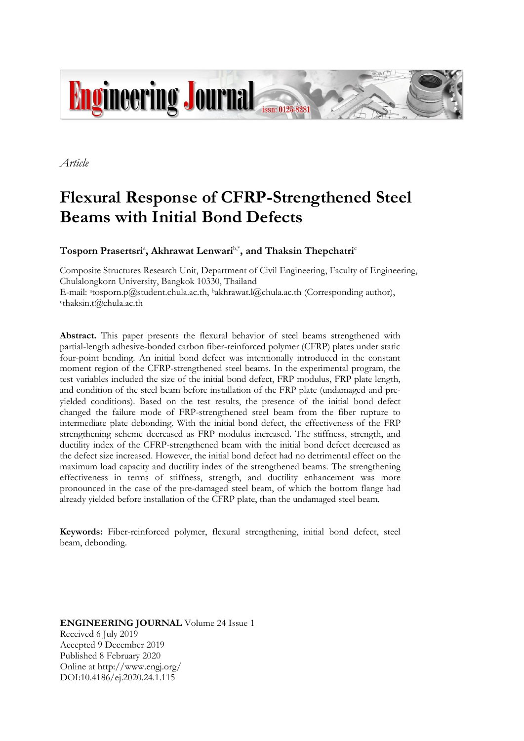

*Article*

# **Flexural Response of CFRP-Strengthened Steel Beams with Initial Bond Defects**

 $\boldsymbol{\mathrm{T}}$ osporn Prasertsri<sup>a</sup>, Akhrawat Lenwari $\boldsymbol{\mathrm{b}}^*$ , and Thaksin Thepchatri<sup>c</sup>

Composite Structures Research Unit, Department of Civil Engineering, Faculty of Engineering, Chulalongkorn University, Bangkok 10330, Thailand E-mail: <sup>a</sup>tosporn.p@student.chula.ac.th, <sup>b</sup>akhrawat.l@chula.ac.th (Corresponding author), c thaksin.t@chula.ac.th

**Abstract.** This paper presents the flexural behavior of steel beams strengthened with partial-length adhesive-bonded carbon fiber-reinforced polymer (CFRP) plates under static four-point bending. An initial bond defect was intentionally introduced in the constant moment region of the CFRP-strengthened steel beams. In the experimental program, the test variables included the size of the initial bond defect, FRP modulus, FRP plate length, and condition of the steel beam before installation of the FRP plate (undamaged and preyielded conditions). Based on the test results, the presence of the initial bond defect changed the failure mode of FRP-strengthened steel beam from the fiber rupture to intermediate plate debonding. With the initial bond defect, the effectiveness of the FRP strengthening scheme decreased as FRP modulus increased. The stiffness, strength, and ductility index of the CFRP-strengthened beam with the initial bond defect decreased as the defect size increased. However, the initial bond defect had no detrimental effect on the maximum load capacity and ductility index of the strengthened beams. The strengthening effectiveness in terms of stiffness, strength, and ductility enhancement was more pronounced in the case of the pre-damaged steel beam, of which the bottom flange had already yielded before installation of the CFRP plate, than the undamaged steel beam.

**Keywords:** Fiber-reinforced polymer, flexural strengthening, initial bond defect, steel beam, debonding.

**ENGINEERING JOURNAL** Volume 24 Issue 1 Received 6 July 2019 Accepted 9 December 2019 Published 8 February 2020 Online at http://www.engj.org/ DOI:10.4186/ej.2020.24.1.115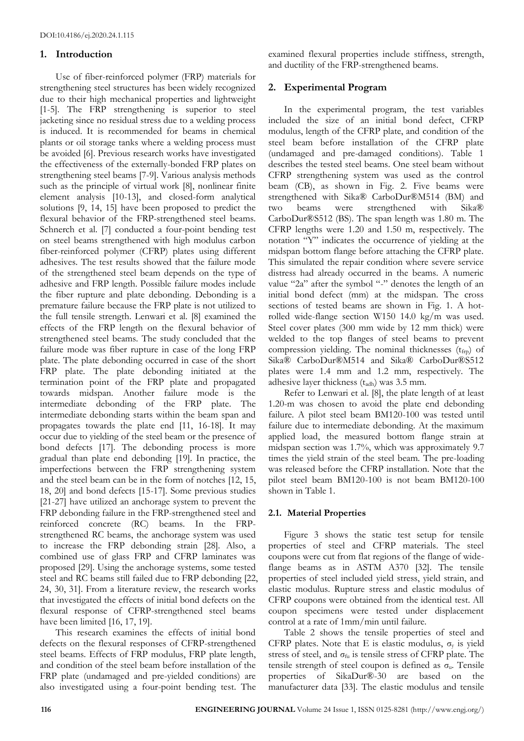## **1. Introduction**

Use of fiber-reinforced polymer (FRP) materials for strengthening steel structures has been widely recognized due to their high mechanical properties and lightweight [1-5]. The FRP strengthening is superior to steel jacketing since no residual stress due to a welding process is induced. It is recommended for beams in chemical plants or oil storage tanks where a welding process must be avoided [6]. Previous research works have investigated the effectiveness of the externally-bonded FRP plates on strengthening steel beams [7-9]. Various analysis methods such as the principle of virtual work [8], nonlinear finite element analysis [10-13], and closed-form analytical solutions [9, 14, 15] have been proposed to predict the flexural behavior of the FRP-strengthened steel beams. Schnerch et al. [7] conducted a four-point bending test on steel beams strengthened with high modulus carbon fiber-reinforced polymer (CFRP) plates using different adhesives. The test results showed that the failure mode of the strengthened steel beam depends on the type of adhesive and FRP length. Possible failure modes include the fiber rupture and plate debonding. Debonding is a premature failure because the FRP plate is not utilized to the full tensile strength. Lenwari et al. [8] examined the effects of the FRP length on the flexural behavior of strengthened steel beams. The study concluded that the failure mode was fiber rupture in case of the long FRP plate. The plate debonding occurred in case of the short FRP plate. The plate debonding initiated at the termination point of the FRP plate and propagated towards midspan. Another failure mode is the intermediate debonding of the FRP plate. The intermediate debonding starts within the beam span and propagates towards the plate end [11, 16-18]. It may occur due to yielding of the steel beam or the presence of bond defects [17]. The debonding process is more gradual than plate end debonding [19]. In practice, the imperfections between the FRP strengthening system and the steel beam can be in the form of notches [12, 15, 18, 20] and bond defects [15-17]. Some previous studies [21-27] have utilized an anchorage system to prevent the FRP debonding failure in the FRP-strengthened steel and reinforced concrete (RC) beams. In the FRPstrengthened RC beams, the anchorage system was used to increase the FRP debonding strain [28]. Also, a combined use of glass FRP and CFRP laminates was proposed [29]. Using the anchorage systems, some tested steel and RC beams still failed due to FRP debonding [22, 24, 30, 31]. From a literature review, the research works that investigated the effects of initial bond defects on the flexural response of CFRP-strengthened steel beams have been limited [16, 17, 19].

This research examines the effects of initial bond defects on the flexural responses of CFRP-strengthened steel beams. Effects of FRP modulus, FRP plate length, and condition of the steel beam before installation of the FRP plate (undamaged and pre-yielded conditions) are also investigated using a four-point bending test. The examined flexural properties include stiffness, strength, and ductility of the FRP-strengthened beams.

# **2. Experimental Program**

In the experimental program, the test variables included the size of an initial bond defect, CFRP modulus, length of the CFRP plate, and condition of the steel beam before installation of the CFRP plate (undamaged and pre-damaged conditions). Table 1 describes the tested steel beams. One steel beam without CFRP strengthening system was used as the control beam (CB), as shown in Fig. 2. Five beams were strengthened with Sika® CarboDur®M514 (BM) and two beams were strengthened with Sika® CarboDur®S512 (BS). The span length was 1.80 m. The CFRP lengths were 1.20 and 1.50 m, respectively. The notation "Y" indicates the occurrence of yielding at the midspan bottom flange before attaching the CFRP plate. This simulated the repair condition where severe service distress had already occurred in the beams. A numeric value "2a" after the symbol "-" denotes the length of an initial bond defect (mm) at the midspan. The cross sections of tested beams are shown in Fig. 1. A hotrolled wide-flange section W150 14.0 kg/m was used. Steel cover plates (300 mm wide by 12 mm thick) were welded to the top flanges of steel beams to prevent compression yielding. The nominal thicknesses  $(t_{frp})$  of Sika® CarboDur®M514 and Sika® CarboDur®S512 plates were 1.4 mm and 1.2 mm, respectively. The adhesive layer thickness  $(t_{\text{adh}})$  was 3.5 mm.

Refer to Lenwari et al. [8], the plate length of at least 1.20-m was chosen to avoid the plate end debonding failure. A pilot steel beam BM120-100 was tested until failure due to intermediate debonding. At the maximum applied load, the measured bottom flange strain at midspan section was 1.7%, which was approximately 9.7 times the yield strain of the steel beam. The pre-loading was released before the CFRP installation. Note that the pilot steel beam BM120-100 is not beam BM120-100 shown in Table 1.

## **2.1. Material Properties**

Figure 3 shows the static test setup for tensile properties of steel and CFRP materials. The steel coupons were cut from flat regions of the flange of wideflange beams as in ASTM A370 [32]. The tensile properties of steel included yield stress, yield strain, and elastic modulus. Rupture stress and elastic modulus of CFRP coupons were obtained from the identical test. All coupon specimens were tested under displacement control at a rate of 1mm/min until failure.

Table 2 shows the tensile properties of steel and CFRP plates. Note that E is elastic modulus,  $\sigma_y$  is yield stress of steel, and  $\sigma_{\text{fu}}$  is tensile stress of CFRP plate. The tensile strength of steel coupon is defined as  $\sigma_u$ . Tensile properties of SikaDur®-30 are based on the manufacturer data [33]. The elastic modulus and tensile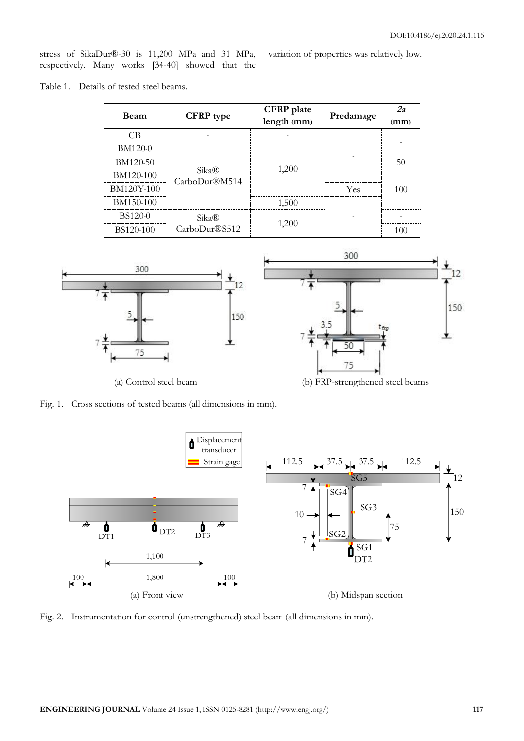variation of properties was relatively low.

stress of SikaDur®-30 is 11,200 MPa and 31 MPa, respectively. Many works [34-40] showed that the

Table 1. Details of tested steel beams.

| <b>Beam</b>      | <b>CFRP</b> type                  | <b>CFRP</b> plate<br>length (mm) | Predamage | 2a<br>(mm) |
|------------------|-----------------------------------|----------------------------------|-----------|------------|
| СB               |                                   |                                  |           |            |
| <b>BM120-0</b>   |                                   | 1,200                            |           |            |
| BM120-50         |                                   |                                  |           | 50         |
| BM120-100        | $Sika\mathbb{R}$<br>CarboDur®M514 |                                  |           |            |
| BM120Y-100       |                                   |                                  | Yes       | 100        |
| BM150-100        |                                   | 1,500                            |           |            |
| <b>BS120-0</b>   | Sika®                             | 1,200                            |           |            |
| <b>BS120-100</b> | CarboDur®S512                     |                                  |           | 100        |







Fig. 2. Instrumentation for control (unstrengthened) steel beam (all dimensions in mm).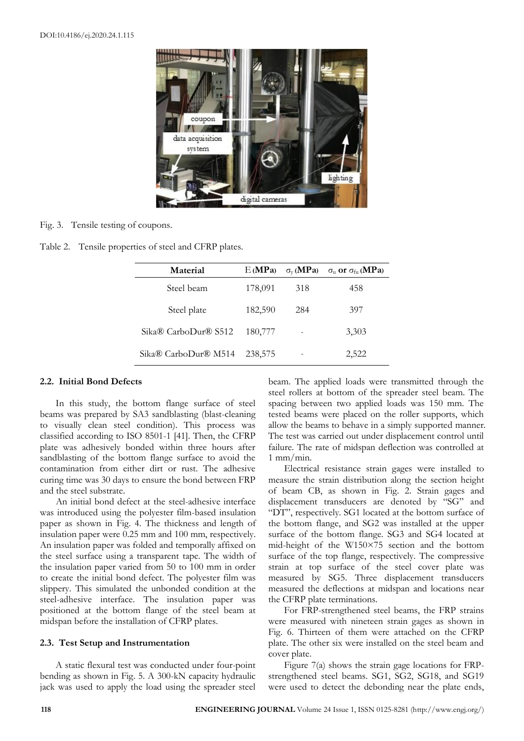

Fig. 3. Tensile testing of coupons.

|  |  |  | Table 2. Tensile properties of steel and CFRP plates. |
|--|--|--|-------------------------------------------------------|
|--|--|--|-------------------------------------------------------|

| Material                         | E(MPa)  | $\sigma_{\rm v}$ (MPa) | $\sigma_{\rm u}$ or $\sigma_{\rm fu}$ (MPa) |
|----------------------------------|---------|------------------------|---------------------------------------------|
| Steel beam                       | 178,091 | 318                    | 458                                         |
| Steel plate                      | 182,590 | 284                    | 397                                         |
| Sika <sup>®</sup> CarboDur® S512 | 180,777 |                        | 3,303                                       |
| Sika® CarboDur® M514             | 238,575 |                        | 2,522                                       |

## **2.2. Initial Bond Defects**

In this study, the bottom flange surface of steel beams was prepared by SA3 sandblasting (blast-cleaning to visually clean steel condition). This process was classified according to ISO 8501-1 [41]. Then, the CFRP plate was adhesively bonded within three hours after sandblasting of the bottom flange surface to avoid the contamination from either dirt or rust. The adhesive curing time was 30 days to ensure the bond between FRP and the steel substrate.

An initial bond defect at the steel-adhesive interface was introduced using the polyester film-based insulation paper as shown in Fig. 4. The thickness and length of insulation paper were 0.25 mm and 100 mm, respectively. An insulation paper was folded and temporally affixed on the steel surface using a transparent tape. The width of the insulation paper varied from 50 to 100 mm in order to create the initial bond defect. The polyester film was slippery. This simulated the unbonded condition at the steel-adhesive interface. The insulation paper was positioned at the bottom flange of the steel beam at midspan before the installation of CFRP plates.

## **2.3. Test Setup and Instrumentation**

A static flexural test was conducted under four-point bending as shown in Fig. 5. A 300-kN capacity hydraulic jack was used to apply the load using the spreader steel beam. The applied loads were transmitted through the steel rollers at bottom of the spreader steel beam. The spacing between two applied loads was 150 mm. The tested beams were placed on the roller supports, which allow the beams to behave in a simply supported manner. The test was carried out under displacement control until failure. The rate of midspan deflection was controlled at 1 mm/min.

Electrical resistance strain gages were installed to measure the strain distribution along the section height of beam CB, as shown in Fig. 2. Strain gages and displacement transducers are denoted by "SG" and "DT", respectively. SG1 located at the bottom surface of the bottom flange, and SG2 was installed at the upper surface of the bottom flange. SG3 and SG4 located at mid-height of the W150×75 section and the bottom surface of the top flange, respectively. The compressive strain at top surface of the steel cover plate was measured by SG5. Three displacement transducers measured the deflections at midspan and locations near the CFRP plate terminations.

For FRP-strengthened steel beams, the FRP strains were measured with nineteen strain gages as shown in Fig. 6. Thirteen of them were attached on the CFRP plate. The other six were installed on the steel beam and cover plate.

Figure 7(a) shows the strain gage locations for FRPstrengthened steel beams. SG1, SG2, SG18, and SG19 were used to detect the debonding near the plate ends,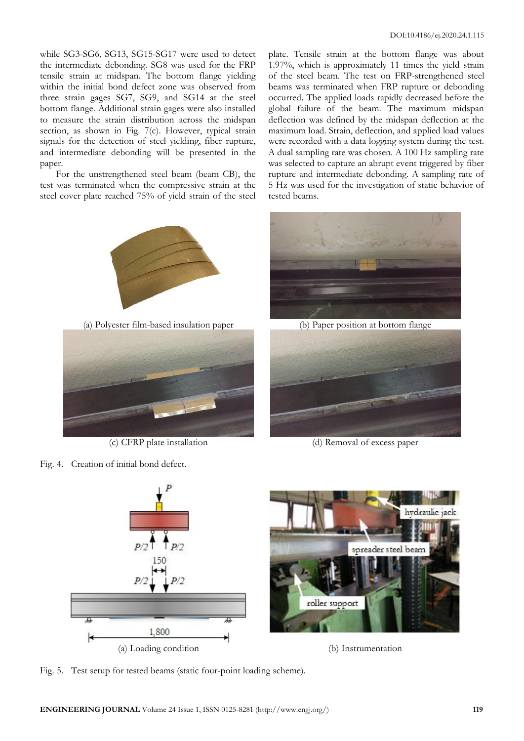while SG3-SG6, SG13, SG15-SG17 were used to detect the intermediate debonding. SG8 was used for the FRP tensile strain at midspan. The bottom flange yielding within the initial bond defect zone was observed from three strain gages SG7, SG9, and SG14 at the steel bottom flange. Additional strain gages were also installed to measure the strain distribution across the midspan section, as shown in Fig. 7(c). However, typical strain signals for the detection of steel yielding, fiber rupture, and intermediate debonding will be presented in the paper.

For the unstrengthened steel beam (beam CB), the test was terminated when the compressive strain at the steel cover plate reached 75% of yield strain of the steel

plate. Tensile strain at the bottom flange was about 1.97%, which is approximately 11 times the yield strain of the steel beam. The test on FRP-strengthened steel beams was terminated when FRP rupture or debonding occurred. The applied loads rapidly decreased before the global failure of the beam. The maximum midspan deflection was defined by the midspan deflection at the maximum load. Strain, deflection, and applied load values were recorded with a data logging system during the test. A dual sampling rate was chosen. A 100 Hz sampling rate was selected to capture an abrupt event triggered by fiber rupture and intermediate debonding. A sampling rate of 5 Hz was used for the investigation of static behavior of tested beams.





(c) CFRP plate installation (d) Removal of excess paper



Fig. 5. Test setup for tested beams (static four-point loading scheme).



Fig. 4. Creation of initial bond defect.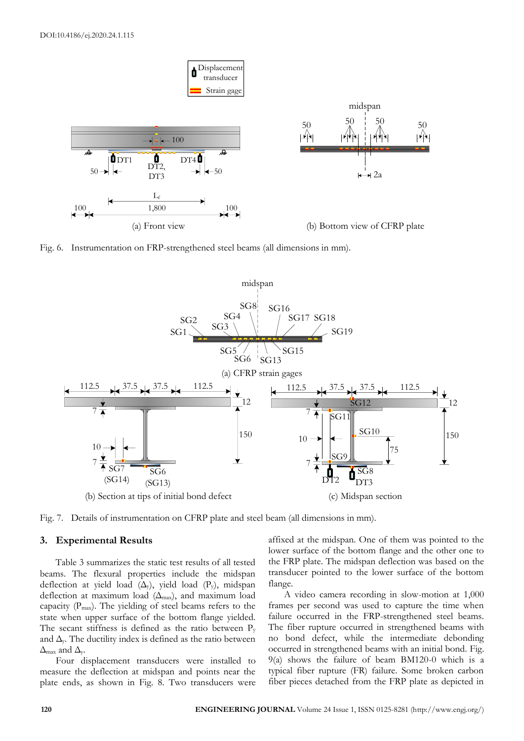

Fig. 6. Instrumentation on FRP-strengthened steel beams (all dimensions in mm).





#### **3. Experimental Results**

Table 3 summarizes the static test results of all tested beams. The flexural properties include the midspan deflection at yield load  $(\Delta_v)$ , yield load  $(P_v)$ , midspan deflection at maximum load  $(\Delta_{\text{max}})$ , and maximum load capacity  $(P_{\text{max}})$ . The yielding of steel beams refers to the state when upper surface of the bottom flange yielded. The secant stiffness is defined as the ratio between  $P_y$ and  $\Delta$ y. The ductility index is defined as the ratio between  $\Delta_{\text{max}}$  and  $\Delta_{\text{v}}$ .

Four displacement transducers were installed to measure the deflection at midspan and points near the plate ends, as shown in Fig. 8. Two transducers were

affixed at the midspan. One of them was pointed to the lower surface of the bottom flange and the other one to the FRP plate. The midspan deflection was based on the transducer pointed to the lower surface of the bottom flange.

A video camera recording in slow-motion at 1,000 frames per second was used to capture the time when failure occurred in the FRP-strengthened steel beams. The fiber rupture occurred in strengthened beams with no bond defect, while the intermediate debonding occurred in strengthened beams with an initial bond. Fig. 9(a) shows the failure of beam BM120-0 which is a typical fiber rupture (FR) failure. Some broken carbon fiber pieces detached from the FRP plate as depicted in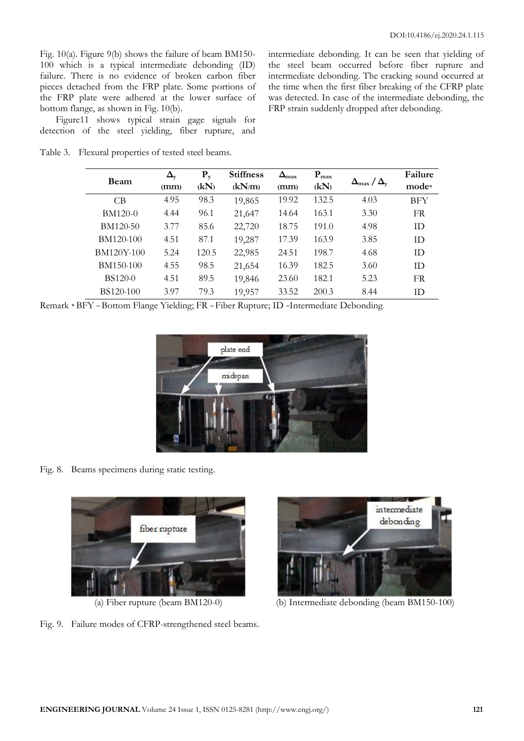Fig. 10(a). Figure 9(b) shows the failure of beam BM150- 100 which is a typical intermediate debonding (ID) failure. There is no evidence of broken carbon fiber pieces detached from the FRP plate. Some portions of the FRP plate were adhered at the lower surface of bottom flange, as shown in Fig. 10(b).

Figure11 shows typical strain gage signals for detection of the steel yielding, fiber rupture, and

Table 3. Flexural properties of tested steel beams.

intermediate debonding. It can be seen that yielding of the steel beam occurred before fiber rupture and intermediate debonding. The cracking sound occurred at the time when the first fiber breaking of the CFRP plate was detected. In case of the intermediate debonding, the FRP strain suddenly dropped after debonding.

| Beam           | $\Delta_{\rm v}$ | $P_{v}$ | <b>Stiffness</b> | $\Delta_{\text{max}}$ | $P_{\text{max}}$ |                                         | Failure    |
|----------------|------------------|---------|------------------|-----------------------|------------------|-----------------------------------------|------------|
|                | (mm)             | (kN)    | (kN/m)           | (mm)                  | (kN)             | $\Delta_{\text{max}}/\Delta_{\text{v}}$ | mode*      |
| C <sub>B</sub> | 4.95             | 98.3    | 19,865           | 19.92                 | 132.5            | 4.03                                    | <b>BFY</b> |
| BM120-0        | 4.44             | 96.1    | 21,647           | 14.64                 | 163.1            | 3.30                                    | <b>FR</b>  |
| BM120-50       | 3.77             | 85.6    | 22,720           | 18.75                 | 191.0            | 4.98                                    | <b>ID</b>  |
| BM120-100      | 4.51             | 87.1    | 19,287           | 17.39                 | 163.9            | 3.85                                    | <b>ID</b>  |
| BM120Y-100     | 5.24             | 120.5   | 22,985           | 24.51                 | 198.7            | 4.68                                    | ID         |
| BM150-100      | 4.55             | 98.5    | 21,654           | 16.39                 | 182.5            | 3.60                                    | ID         |
| <b>BS120-0</b> | 4.51             | 89.5    | 19,846           | 23.60                 | 182.1            | 5.23                                    | <b>FR</b>  |
| BS120-100      | 397              | 79.3    | 19,957           | 33.52                 | 200.3            | 8.44                                    | ID         |

Remark \* BFY = Bottom Flange Yielding; FR = Fiber Rupture; ID =Intermediate Debonding.



Fig. 8. Beams specimens during static testing.



Fig. 9. Failure modes of CFRP-strengthened steel beams.



(a) Fiber rupture (beam BM120-0) (b) Intermediate debonding (beam BM150-100)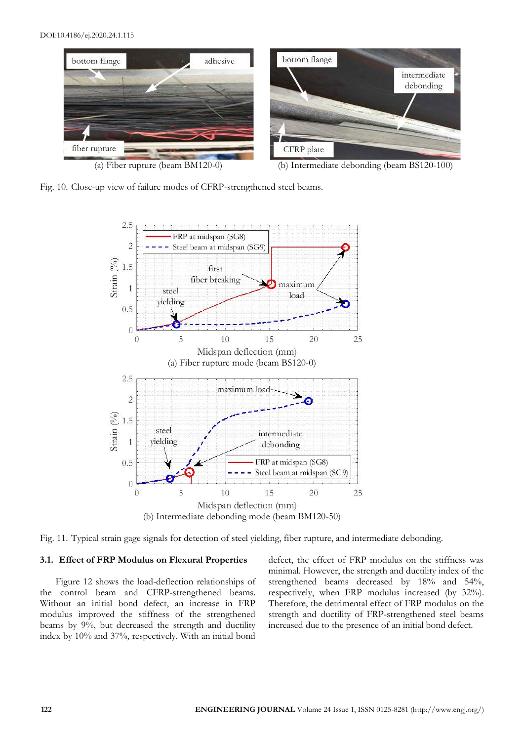

Fig. 10. Close-up view of failure modes of CFRP-strengthened steel beams.



Fig. 11. Typical strain gage signals for detection of steel yielding, fiber rupture, and intermediate debonding.

### **3.1. Effect of FRP Modulus on Flexural Properties**

Figure 12 shows the load-deflection relationships of the control beam and CFRP-strengthened beams. Without an initial bond defect, an increase in FRP modulus improved the stiffness of the strengthened beams by 9%, but decreased the strength and ductility index by 10% and 37%, respectively. With an initial bond defect, the effect of FRP modulus on the stiffness was minimal. However, the strength and ductility index of the strengthened beams decreased by 18% and 54%, respectively, when FRP modulus increased (by 32%). Therefore, the detrimental effect of FRP modulus on the strength and ductility of FRP-strengthened steel beams increased due to the presence of an initial bond defect.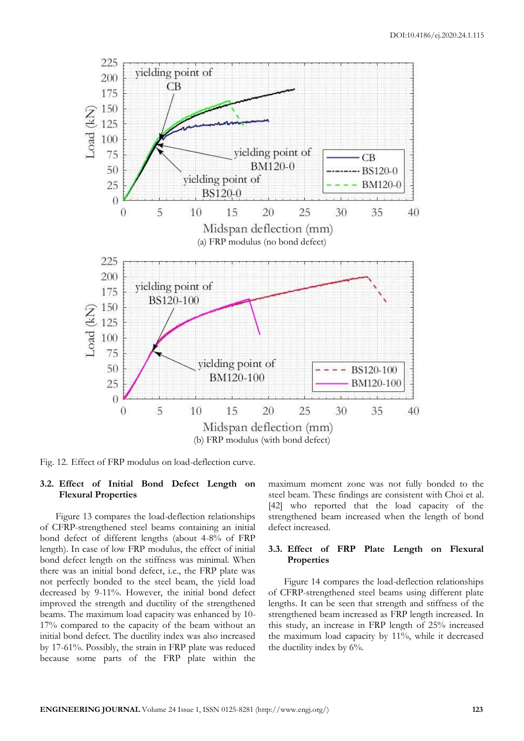

Fig. 12. Effect of FRP modulus on load-deflection curve.

### **3.2. Effect of Initial Bond Defect Length on Flexural Properties**

Figure 13 compares the load-deflection relationships of CFRP-strengthened steel beams containing an initial bond defect of different lengths (about 4-8% of FRP length). In case of low FRP modulus, the effect of initial bond defect length on the stiffness was minimal. When there was an initial bond defect, i.e., the FRP plate was not perfectly bonded to the steel beam, the yield load decreased by 9-11%. However, the initial bond defect improved the strength and ductility of the strengthened beams. The maximum load capacity was enhanced by 10- 17% compared to the capacity of the beam without an initial bond defect. The ductility index was also increased by 17-61%. Possibly, the strain in FRP plate was reduced because some parts of the FRP plate within the

maximum moment zone was not fully bonded to the steel beam. These findings are consistent with Choi et al. [42] who reported that the load capacity of the strengthened beam increased when the length of bond defect increased.

### **3.3. Effect of FRP Plate Length on Flexural Properties**

Figure 14 compares the load-deflection relationships of CFRP-strengthened steel beams using different plate lengths. It can be seen that strength and stiffness of the strengthened beam increased as FRP length increased. In this study, an increase in FRP length of 25% increased the maximum load capacity by 11%, while it decreased the ductility index by 6%.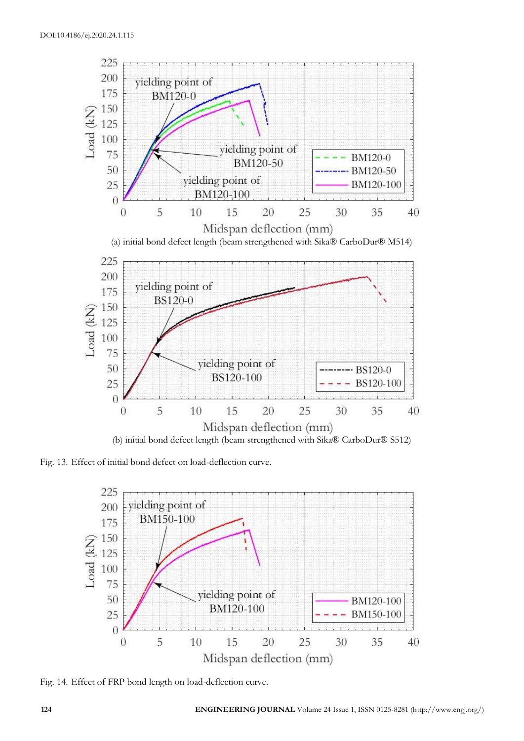

Fig. 13. Effect of initial bond defect on load-deflection curve.



Fig. 14. Effect of FRP bond length on load-deflection curve.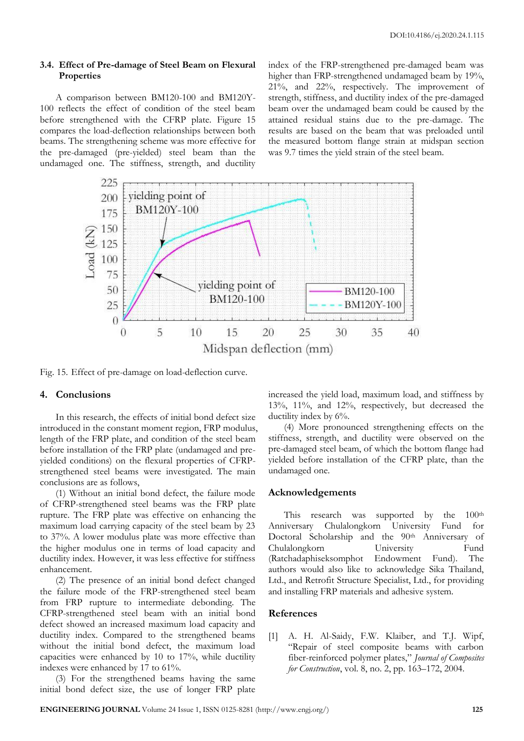## **3.4. Effect of Pre-damage of Steel Beam on Flexural Properties**

A comparison between BM120-100 and BM120Y-100 reflects the effect of condition of the steel beam before strengthened with the CFRP plate. Figure 15 compares the load-deflection relationships between both beams. The strengthening scheme was more effective for the pre-damaged (pre-yielded) steel beam than the undamaged one. The stiffness, strength, and ductility index of the FRP-strengthened pre-damaged beam was higher than FRP-strengthened undamaged beam by 19%, 21%, and 22%, respectively. The improvement of strength, stiffness, and ductility index of the pre-damaged beam over the undamaged beam could be caused by the attained residual stains due to the pre-damage. The results are based on the beam that was preloaded until the measured bottom flange strain at midspan section was 9.7 times the yield strain of the steel beam.



Fig. 15. Effect of pre-damage on load-deflection curve.

### **4. Conclusions**

In this research, the effects of initial bond defect size introduced in the constant moment region, FRP modulus, length of the FRP plate, and condition of the steel beam before installation of the FRP plate (undamaged and preyielded conditions) on the flexural properties of CFRPstrengthened steel beams were investigated. The main conclusions are as follows,

(1) Without an initial bond defect, the failure mode of CFRP-strengthened steel beams was the FRP plate rupture. The FRP plate was effective on enhancing the maximum load carrying capacity of the steel beam by 23 to 37%. A lower modulus plate was more effective than the higher modulus one in terms of load capacity and ductility index. However, it was less effective for stiffness enhancement.

(2) The presence of an initial bond defect changed the failure mode of the FRP-strengthened steel beam from FRP rupture to intermediate debonding. The CFRP-strengthened steel beam with an initial bond defect showed an increased maximum load capacity and ductility index. Compared to the strengthened beams without the initial bond defect, the maximum load capacities were enhanced by 10 to 17%, while ductility indexes were enhanced by 17 to 61%.

(3) For the strengthened beams having the same initial bond defect size, the use of longer FRP plate increased the yield load, maximum load, and stiffness by 13%, 11%, and 12%, respectively, but decreased the ductility index by 6%.

(4) More pronounced strengthening effects on the stiffness, strength, and ductility were observed on the pre-damaged steel beam, of which the bottom flange had yielded before installation of the CFRP plate, than the undamaged one.

#### **Acknowledgements**

This research was supported by the 100<sup>th</sup> Anniversary Chulalongkorn University Fund for Doctoral Scholarship and the 90<sup>th</sup> Anniversary of Chulalongkorn University Fund (Ratchadaphiseksomphot Endowment Fund). The authors would also like to acknowledge Sika Thailand, Ltd., and Retrofit Structure Specialist, Ltd., for providing and installing FRP materials and adhesive system.

## **References**

[1] A. H. Al-Saidy, F.W. Klaiber, and T.J. Wipf, "Repair of steel composite beams with carbon fiber-reinforced polymer plates," *Journal of Composites for Construction*, vol. 8, no. 2, pp. 163–172, 2004.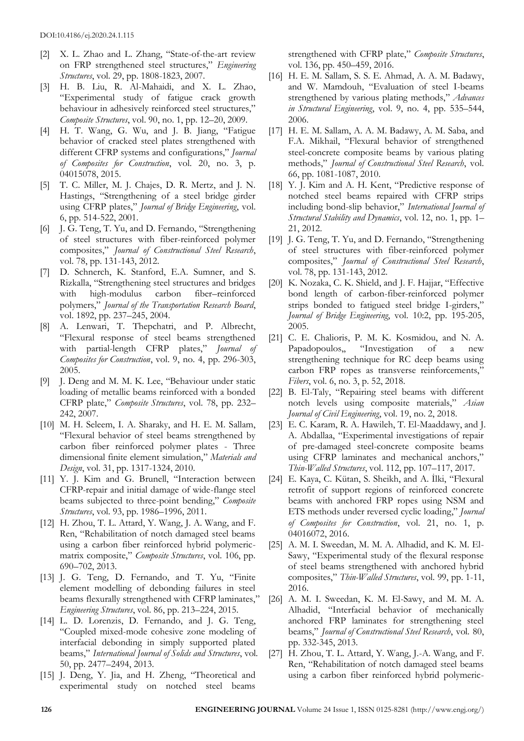- [2] X. L. Zhao and L. Zhang, "State-of-the-art review on FRP strengthened steel structures," *Engineering Structures*, vol. 29, pp. 1808-1823, 2007.
- [3] H. B. Liu, R. Al-Mahaidi, and X. L. Zhao, "Experimental study of fatigue crack growth behaviour in adhesively reinforced steel structures," *Composite Structures*, vol. 90, no. 1, pp. 12–20, 2009.
- [4] H. T. Wang, G. Wu, and J. B. Jiang, "Fatigue behavior of cracked steel plates strengthened with different CFRP systems and configurations," *Journal of Composites for Construction*, vol. 20, no. 3, p. 04015078, 2015.
- [5] T. C. Miller, M. J. Chajes, D. R. Mertz, and J. N. Hastings, "Strengthening of a steel bridge girder using CFRP plates," *Journal of Bridge Engineering*, vol. 6, pp. 514-522, 2001.
- [6] J. G. Teng, T. Yu, and D. Fernando, "Strengthening of steel structures with fiber-reinforced polymer composites," *Journal of Constructional Steel Research*, vol. 78, pp. 131-143, 2012.
- [7] D. Schnerch, K. Stanford, E.A. Sumner, and S. Rizkalla, "Strengthening steel structures and bridges with high-modulus carbon fiber–reinforced polymers," *Journal of the Transportation Research Board*, vol. 1892, pp. 237–245, 2004.
- [8] A. Lenwari, T. Thepchatri, and P. Albrecht, "Flexural response of steel beams strengthened with partial-length CFRP plates," *Journal of Composites for Construction*, vol. 9, no. 4, pp. 296-303, 2005.
- [9] J. Deng and M. M. K. Lee, "Behaviour under static loading of metallic beams reinforced with a bonded CFRP plate," *Composite Structures*, vol. 78, pp. 232– 242, 2007.
- [10] M. H. Seleem, I. A. Sharaky, and H. E. M. Sallam, "Flexural behavior of steel beams strengthened by carbon fiber reinforced polymer plates - Three dimensional finite element simulation," *Materials and Design*, vol. 31, pp. 1317-1324, 2010.
- [11] Y. J. Kim and G. Brunell, "Interaction between CFRP-repair and initial damage of wide-flange steel beams subjected to three-point bending," *Composite Structures*, vol. 93, pp. 1986–1996, 2011.
- [12] H. Zhou, T. L. Attard, Y. Wang, J. A. Wang, and F. Ren, "Rehabilitation of notch damaged steel beams using a carbon fiber reinforced hybrid polymericmatrix composite," *Composite Structures*, vol. 106, pp. 690–702, 2013.
- [13] J. G. Teng, D. Fernando, and T. Yu, "Finite element modelling of debonding failures in steel beams flexurally strengthened with CFRP laminates," *Engineering Structures*, vol. 86, pp. 213–224, 2015.
- [14] L. D. Lorenzis, D. Fernando, and J. G. Teng, "Coupled mixed-mode cohesive zone modeling of interfacial debonding in simply supported plated beams," *International Journal of Solids and Structures*, vol. 50, pp. 2477–2494, 2013.
- [15] J. Deng, Y. Jia, and H. Zheng, "Theoretical and experimental study on notched steel beams

strengthened with CFRP plate," *Composite Structures*, vol. 136, pp. 450–459, 2016.

- [16] H. E. M. Sallam, S. S. E. Ahmad, A. A. M. Badawy, and W. Mamdouh, "Evaluation of steel I-beams strengthened by various plating methods," *Advances in Structural Engineering*, vol. 9, no. 4, pp. 535–544, 2006.
- [17] H. E. M. Sallam, A. A. M. Badawy, A. M. Saba, and F.A. Mikhail, "Flexural behavior of strengthened steel-concrete composite beams by various plating methods," *Journal of Constructional Steel Research*, vol. 66, pp. 1081-1087, 2010.
- [18] Y. J. Kim and A. H. Kent, "Predictive response of notched steel beams repaired with CFRP strips including bond-slip behavior," *International Journal of Structural Stability and Dynamics*, vol. 12, no. 1, pp. 1– 21, 2012.
- [19] J. G. Teng, T. Yu, and D. Fernando, "Strengthening of steel structures with fiber-reinforced polymer composites," *Journal of Constructional Steel Research*, vol. 78, pp. 131-143, 2012.
- [20] K. Nozaka, C. K. Shield, and J. F. Hajjar, "Effective bond length of carbon-fiber-reinforced polymer strips bonded to fatigued steel bridge I-girders," *Journal of Bridge Engineering*, vol. 10:2, pp. 195-205, 2005.
- [21] C. E. Chalioris, P. M. K. Kosmidou, and N. A. Papadopoulos,, "Investigation of a new strengthening technique for RC deep beams using carbon FRP ropes as transverse reinforcements," *Fibers*, vol. 6, no. 3, p. 52, 2018.
- [22] B. El-Taly, "Repairing steel beams with different notch levels using composite materials," *Asian Journal of Civil Engineering*, vol. 19, no. 2, 2018.
- [23] E. C. Karam, R. A. Hawileh, T. El-Maaddawy, and J. A. Abdallaa, "Experimental investigations of repair of pre-damaged steel-concrete composite beams using CFRP laminates and mechanical anchors," *Thin-Walled Structures*, vol. 112, pp. 107–117, 2017.
- [24] E. Kaya, C. Kütan, S. Sheikh, and A. İlki, "Flexural retrofit of support regions of reinforced concrete beams with anchored FRP ropes using NSM and ETS methods under reversed cyclic loading," *Journal of Composites for Construction*, vol. 21, no. 1, p. 04016072, 2016.
- [25] A. M. I. Sweedan, M. M. A. Alhadid, and K. M. El-Sawy, "Experimental study of the flexural response of steel beams strengthened with anchored hybrid composites," *Thin-Walled Structures*, vol. 99, pp. 1-11, 2016.
- [26] A. M. I. Sweedan, K. M. El-Sawy, and M. M. A. Alhadid, "Interfacial behavior of mechanically anchored FRP laminates for strengthening steel beams," *Journal of Constructional Steel Research*, vol. 80, pp. 332-345, 2013.
- [27] H. Zhou, T. L. Attard, Y. Wang, J.-A. Wang, and F. Ren, "Rehabilitation of notch damaged steel beams using a carbon fiber reinforced hybrid polymeric-